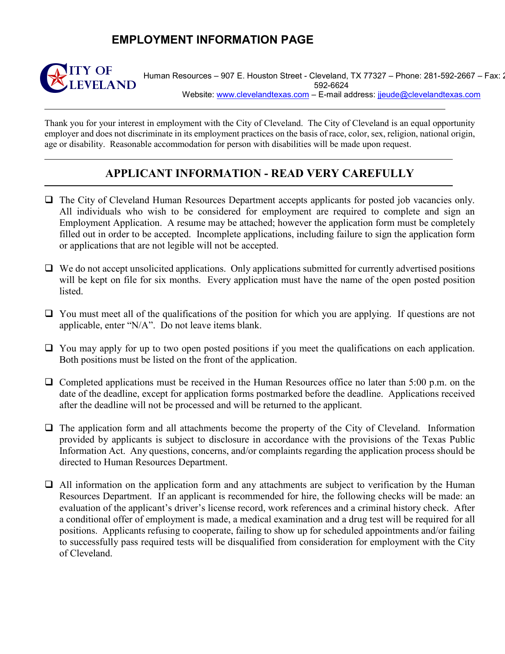## **EMPLOYMENT INFORMATION PAGE**



Human Resources – 907 E. Houston Street - Cleveland, TX 77327 – Phone: 281-592-2667 – Fax: 2 592-6624 Website: [www.clevelandtexas.com](http://www.clevelandtexas.com/) - E-mail address: [jjeude@clevelandtexas.com](mailto:jjeude@clevelandtexas.com)

Thank you for your interest in employment with the City of Cleveland. The City of Cleveland is an equal opportunity employer and does not discriminate in its employment practices on the basis of race, color, sex, religion, national origin, age or disability. Reasonable accommodation for person with disabilities will be made upon request.

## **APPLICANT INFORMATION - READ VERY CAREFULLY**

- The City of Cleveland Human Resources Department accepts applicants for posted job vacancies only. All individuals who wish to be considered for employment are required to complete and sign an Employment Application. A resume may be attached; however the application form must be completely filled out in order to be accepted. Incomplete applications, including failure to sign the application form or applications that are not legible will not be accepted.
- $\Box$  We do not accept unsolicited applications. Only applications submitted for currently advertised positions will be kept on file for six months. Every application must have the name of the open posted position listed.
- $\Box$  You must meet all of the qualifications of the position for which you are applying. If questions are not applicable, enter "N/A". Do not leave items blank.
- $\Box$  You may apply for up to two open posted positions if you meet the qualifications on each application. Both positions must be listed on the front of the application.
- $\Box$  Completed applications must be received in the Human Resources office no later than 5:00 p.m. on the date of the deadline, except for application forms postmarked before the deadline. Applications received after the deadline will not be processed and will be returned to the applicant.
- $\Box$  The application form and all attachments become the property of the City of Cleveland. Information provided by applicants is subject to disclosure in accordance with the provisions of the Texas Public Information Act. Any questions, concerns, and/or complaints regarding the application process should be directed to Human Resources Department.
- All information on the application form and any attachments are subject to verification by the Human Resources Department. If an applicant is recommended for hire, the following checks will be made: an evaluation of the applicant's driver's license record, work references and a criminal history check. After a conditional offer of employment is made, a medical examination and a drug test will be required for all positions. Applicants refusing to cooperate, failing to show up for scheduled appointments and/or failing to successfully pass required tests will be disqualified from consideration for employment with the City of Cleveland.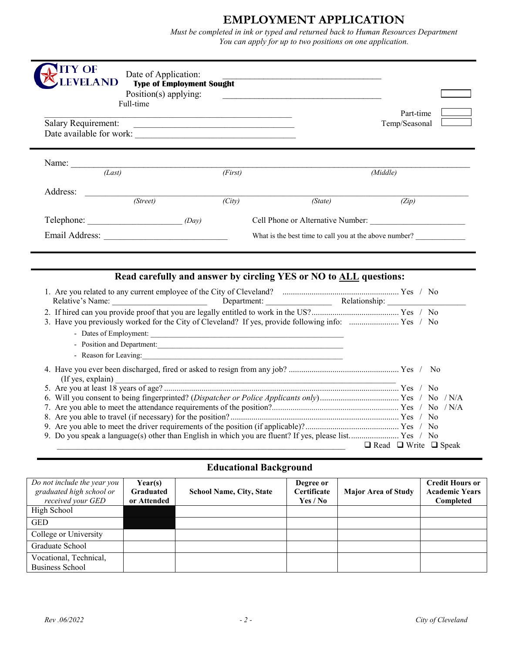## **EMPLOYMENT APPLICATION**

 *You can apply for up to two positions on one application.Must be completed in ink or typed and returned back to Human Resources Department*

| <b>LEVELAND</b>                                                                                                                                     | Date of Application:<br><b>Type of Employment Sought</b><br>Position(s) applying:<br>Full-time |                                                                   | <u> 1980 - Johann Barn, amerikan bestemannten bestemannten bestemannten aus dem Europa von dem Europa von dem Europa von dem Europa von dem Europa von dem Europa von dem Europa von dem Europa von dem Europa von dem Europa vo</u> | Part-time                         |
|-----------------------------------------------------------------------------------------------------------------------------------------------------|------------------------------------------------------------------------------------------------|-------------------------------------------------------------------|--------------------------------------------------------------------------------------------------------------------------------------------------------------------------------------------------------------------------------------|-----------------------------------|
| <b>Salary Requirement:</b><br><u> 2000 - Jan James James James James James James James James James James James James James James James James Ja</u> |                                                                                                |                                                                   |                                                                                                                                                                                                                                      | Temp/Seasonal                     |
|                                                                                                                                                     | Name: $\frac{1}{(Last)}$                                                                       |                                                                   |                                                                                                                                                                                                                                      |                                   |
|                                                                                                                                                     |                                                                                                | (First)                                                           |                                                                                                                                                                                                                                      | (Middle)                          |
| Address:                                                                                                                                            | (Street)                                                                                       | (City)                                                            | (State)                                                                                                                                                                                                                              | (Zip)                             |
|                                                                                                                                                     | $\text{Telephone:}\n \qquad \qquad (Day)$                                                      |                                                                   |                                                                                                                                                                                                                                      | Cell Phone or Alternative Number: |
|                                                                                                                                                     |                                                                                                |                                                                   |                                                                                                                                                                                                                                      |                                   |
|                                                                                                                                                     |                                                                                                |                                                                   | What is the best time to call you at the above number?                                                                                                                                                                               |                                   |
|                                                                                                                                                     |                                                                                                | Read carefully and answer by circling YES or NO to ALL questions: |                                                                                                                                                                                                                                      |                                   |
|                                                                                                                                                     |                                                                                                |                                                                   |                                                                                                                                                                                                                                      |                                   |
|                                                                                                                                                     |                                                                                                |                                                                   |                                                                                                                                                                                                                                      |                                   |
|                                                                                                                                                     |                                                                                                |                                                                   |                                                                                                                                                                                                                                      |                                   |
|                                                                                                                                                     |                                                                                                |                                                                   |                                                                                                                                                                                                                                      |                                   |
|                                                                                                                                                     |                                                                                                | - Position and Department:                                        |                                                                                                                                                                                                                                      |                                   |
|                                                                                                                                                     |                                                                                                |                                                                   |                                                                                                                                                                                                                                      |                                   |
|                                                                                                                                                     |                                                                                                |                                                                   |                                                                                                                                                                                                                                      |                                   |
|                                                                                                                                                     |                                                                                                |                                                                   |                                                                                                                                                                                                                                      |                                   |
|                                                                                                                                                     |                                                                                                |                                                                   |                                                                                                                                                                                                                                      |                                   |
|                                                                                                                                                     |                                                                                                |                                                                   |                                                                                                                                                                                                                                      |                                   |

### **Educational Background**

| Do not include the year you<br>graduated high school or<br>received your GED | Year(s)<br><b>Graduated</b><br>or Attended | <b>School Name, City, State</b> | Degree or<br><b>Certificate</b><br>Yes / No | <b>Major Area of Study</b> | <b>Credit Hours or</b><br><b>Academic Years</b><br>Completed |
|------------------------------------------------------------------------------|--------------------------------------------|---------------------------------|---------------------------------------------|----------------------------|--------------------------------------------------------------|
| High School                                                                  |                                            |                                 |                                             |                            |                                                              |
| <b>GED</b>                                                                   |                                            |                                 |                                             |                            |                                                              |
| College or University                                                        |                                            |                                 |                                             |                            |                                                              |
| Graduate School                                                              |                                            |                                 |                                             |                            |                                                              |
| Vocational, Technical,<br>Business School                                    |                                            |                                 |                                             |                            |                                                              |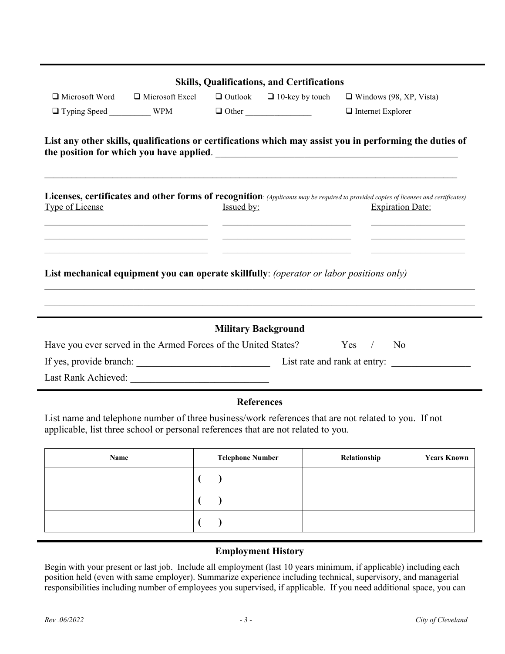|                       |                                                                                                                                                                                       |            | <b>Skills, Qualifications, and Certifications</b>                                         |                                                                                                                                                                |
|-----------------------|---------------------------------------------------------------------------------------------------------------------------------------------------------------------------------------|------------|-------------------------------------------------------------------------------------------|----------------------------------------------------------------------------------------------------------------------------------------------------------------|
| $\Box$ Microsoft Word | $\Box$ Microsoft Excel                                                                                                                                                                |            | $\Box$ Outlook $\Box$ 10-key by touch                                                     | $\Box$ Windows (98, XP, Vista)                                                                                                                                 |
|                       |                                                                                                                                                                                       |            |                                                                                           | $\Box$ Internet Explorer                                                                                                                                       |
|                       |                                                                                                                                                                                       |            |                                                                                           | List any other skills, qualifications or certifications which may assist you in performing the duties of                                                       |
| Type of License       |                                                                                                                                                                                       | Issued by: | the control of the control of the control of the control of the control of the control of | Licenses, certificates and other forms of recognition: (Applicants may be required to provided copies of licenses and certificates)<br><b>Expiration Date:</b> |
|                       | the control of the control of the control of the control of the control of the control of<br>List mechanical equipment you can operate skillfully: (operator or labor positions only) |            | <u> 1989 - Andrea Stadt Britain, amerikansk politiker (</u>                               |                                                                                                                                                                |
|                       |                                                                                                                                                                                       |            | <b>Military Background</b>                                                                |                                                                                                                                                                |
|                       | Have you ever served in the Armed Forces of the United States?                                                                                                                        |            |                                                                                           | Yes / No                                                                                                                                                       |
|                       |                                                                                                                                                                                       |            |                                                                                           |                                                                                                                                                                |
|                       |                                                                                                                                                                                       |            |                                                                                           |                                                                                                                                                                |
|                       |                                                                                                                                                                                       |            | <b>References</b>                                                                         |                                                                                                                                                                |
|                       | applicable, list three school or personal references that are not related to you.                                                                                                     |            |                                                                                           | List name and telephone number of three business/work references that are not related to you. If not                                                           |

| Name | <b>Telephone Number</b> | Relationship | <b>Years Known</b> |
|------|-------------------------|--------------|--------------------|
|      |                         |              |                    |
|      |                         |              |                    |
|      |                         |              |                    |

### **Employment History**

Begin with your present or last job. Include all employment (last 10 years minimum, if applicable) including each position held (even with same employer). Summarize experience including technical, supervisory, and managerial responsibilities including number of employees you supervised, if applicable. If you need additional space, you can

Ĭ.

j,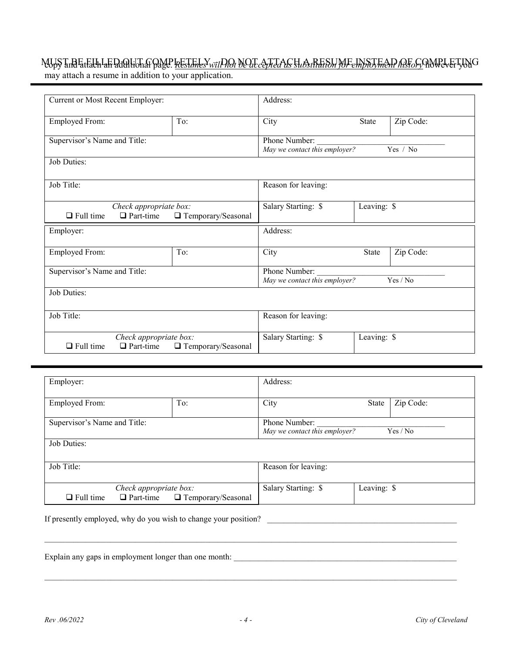## MUST BE tEll LED QU'IL A QMP <u>bestimes wil*DQt be accepted as substitution for employment history* however you G</u>

may attach a resume in addition to your application.

|                                                                                        | Current or Most Recent Employer:                                   |                     |                                                | Address:     |           |  |
|----------------------------------------------------------------------------------------|--------------------------------------------------------------------|---------------------|------------------------------------------------|--------------|-----------|--|
| <b>Employed From:</b>                                                                  |                                                                    | To:                 | City                                           | <b>State</b> | Zip Code: |  |
| Supervisor's Name and Title:                                                           |                                                                    |                     | Phone Number:<br>May we contact this employer? |              | Yes / No  |  |
| Job Duties:                                                                            |                                                                    |                     |                                                |              |           |  |
| Job Title:                                                                             |                                                                    |                     | Reason for leaving:                            |              |           |  |
| $\Box$ Full time                                                                       | Check appropriate box:<br>$\Box$ Part-time<br>□ Temporary/Seasonal |                     | Salary Starting: \$                            | Leaving: \$  |           |  |
| Employer:                                                                              |                                                                    |                     | Address:                                       |              |           |  |
| Employed From:                                                                         |                                                                    | To:                 | City                                           | <b>State</b> | Zip Code: |  |
| Supervisor's Name and Title:                                                           |                                                                    |                     | Phone Number:<br>May we contact this employer? |              | Yes / No  |  |
| Job Duties:                                                                            |                                                                    |                     |                                                |              |           |  |
| Job Title:                                                                             |                                                                    | Reason for leaving: |                                                |              |           |  |
| Check appropriate box:<br>$\Box$ Full time<br>$\Box$ Part-time<br>□ Temporary/Seasonal |                                                                    |                     | Salary Starting: \$                            | Leaving: \$  |           |  |

| Employer:                                                                              |                     | Address:                                                   |              |           |
|----------------------------------------------------------------------------------------|---------------------|------------------------------------------------------------|--------------|-----------|
| <b>Employed From:</b>                                                                  | To:                 | City                                                       | <b>State</b> | Zip Code: |
| Supervisor's Name and Title:                                                           |                     | Phone Number:<br>May we contact this employer?<br>Yes / No |              |           |
| Job Duties:                                                                            |                     |                                                            |              |           |
| Job Title:                                                                             | Reason for leaving: |                                                            |              |           |
| Check appropriate box:<br>$\Box$ Part-time<br>$\Box$ Full time<br>□ Temporary/Seasonal |                     | Salary Starting: \$                                        | Leaving: \$  |           |

If presently employed, why do you wish to change your position?

Explain any gaps in employment longer than one month: \_\_\_\_\_\_\_\_\_\_\_\_\_\_\_\_\_\_\_\_\_\_\_\_\_\_\_\_\_\_\_\_\_\_\_\_\_\_\_\_\_\_\_\_\_\_\_\_\_\_\_\_\_\_

\_\_\_\_\_\_\_\_\_\_\_\_\_\_\_\_\_\_\_\_\_\_\_\_\_\_\_\_\_\_\_\_\_\_\_\_\_\_\_\_\_\_\_\_\_\_\_\_\_\_\_\_\_\_\_\_\_\_\_\_\_\_\_\_\_\_\_\_\_\_\_\_\_\_\_\_\_\_\_\_\_\_\_\_\_\_\_\_\_\_\_\_\_\_\_\_\_\_\_\_

\_\_\_\_\_\_\_\_\_\_\_\_\_\_\_\_\_\_\_\_\_\_\_\_\_\_\_\_\_\_\_\_\_\_\_\_\_\_\_\_\_\_\_\_\_\_\_\_\_\_\_\_\_\_\_\_\_\_\_\_\_\_\_\_\_\_\_\_\_\_\_\_\_\_\_\_\_\_\_\_\_\_\_\_\_\_\_\_\_\_\_\_\_\_\_\_\_\_\_\_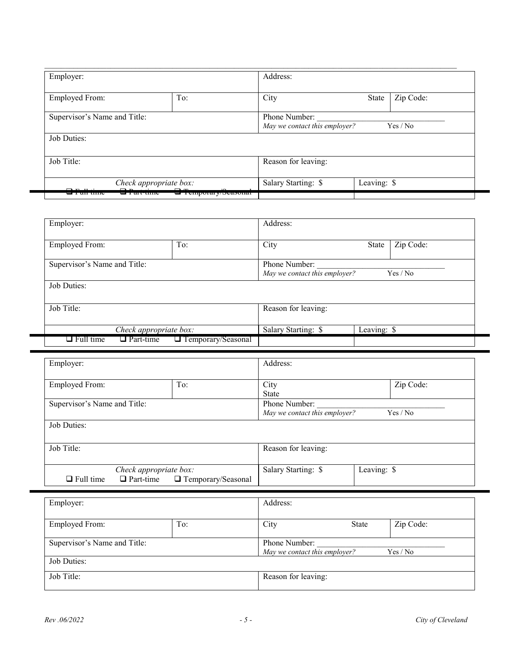| Employer:                                                         |  | Address:            |                                           |  |  |
|-------------------------------------------------------------------|--|---------------------|-------------------------------------------|--|--|
| To:<br><b>Employed From:</b>                                      |  | City                | Zip Code:<br>State                        |  |  |
| Supervisor's Name and Title:                                      |  | Phone Number:       | May we contact this employer?<br>Yes / No |  |  |
| Job Duties:                                                       |  |                     |                                           |  |  |
| Job Title:                                                        |  | Reason for leaving: |                                           |  |  |
| Check appropriate box:                                            |  | Salary Starting: \$ | Leaving: \$                               |  |  |
| $\Box$ Tumporary/Substitute<br>u Tar <del>eume</del><br>प्राप्ताप |  |                     |                                           |  |  |

| Employer:                            |                            | Address:            |                                           |           |  |
|--------------------------------------|----------------------------|---------------------|-------------------------------------------|-----------|--|
| <b>Employed From:</b>                | To:                        | City                | State                                     | Zip Code: |  |
| Supervisor's Name and Title:         |                            | Phone Number:       | May we contact this employer?<br>Yes / No |           |  |
| Job Duties:                          |                            |                     |                                           |           |  |
| Job Title:                           |                            | Reason for leaving: |                                           |           |  |
| Check appropriate box:               |                            | Salary Starting: \$ | Leaving: \$                               |           |  |
| $\Box$ Full time<br>$\Box$ Part-time | <b>T</b> emporary/Seasonal |                     |                                           |           |  |

| Employer:                                                                                |     | Address:                                       |                      |           |
|------------------------------------------------------------------------------------------|-----|------------------------------------------------|----------------------|-----------|
| <b>Employed From:</b>                                                                    | To: |                                                | City<br><b>State</b> | Zip Code: |
| Supervisor's Name and Title:                                                             |     | Phone Number:<br>May we contact this employer? | Yes / No             |           |
| Job Duties:                                                                              |     |                                                |                      |           |
| Job Title:                                                                               |     | Reason for leaving:                            |                      |           |
| Check appropriate box:<br>$\Box$ Part-time $\Box$ Temporary/Seasonal<br>$\Box$ Full time |     | Salary Starting: \$                            | Leaving: \$          |           |

| Employer:                    |  | Address:                                                   |  |
|------------------------------|--|------------------------------------------------------------|--|
| <b>Employed From:</b><br>To: |  | Zip Code:<br>City<br><b>State</b>                          |  |
| Supervisor's Name and Title: |  | Phone Number:<br>May we contact this employer?<br>Yes / No |  |
| Job Duties:                  |  |                                                            |  |
| Job Title:                   |  | Reason for leaving:                                        |  |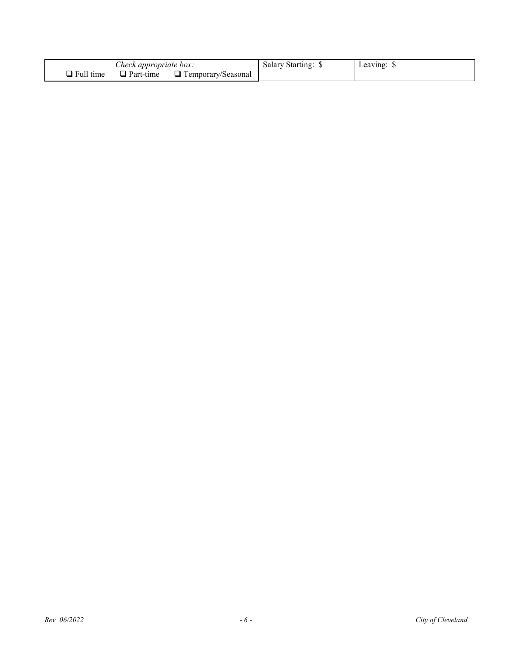| Check appropriate box: |           | ' Starting:<br>Salary     | Leaving: |  |
|------------------------|-----------|---------------------------|----------|--|
| $\Box$ Full time       | Part-time | $\Box$ Temporary/Seasonal |          |  |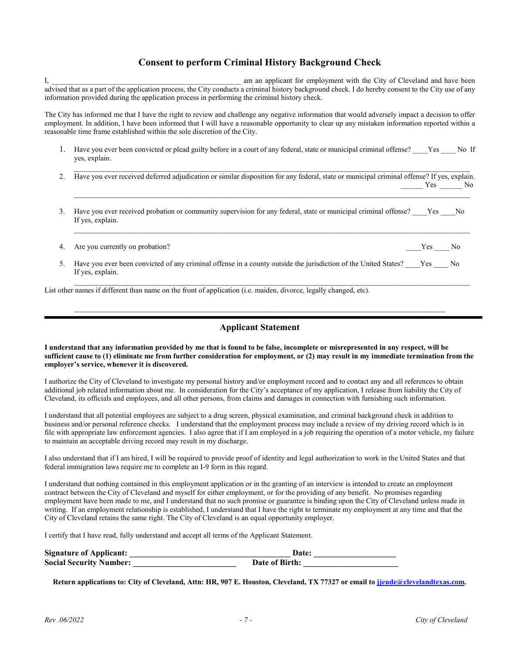#### **Consent to perform Criminal History Background Check**

I, the contract of the same am applicant for employment with the City of Cleveland and have been advised that as a part of the application process, the City conducts a criminal history background check. I do hereby consent to the City use of any information provided during the application process in performing the criminal history check.

The City has informed me that I have the right to review and challenge any negative information that would adversely impact a decision to offer employment. In addition, I have been informed that I will have a reasonable opportunity to clear up any mistaken information reported within a reasonable time frame established within the sole discretion of the City.

- 1. Have you ever been convicted or plead guilty before in a court of any federal, state or municipal criminal offense? \_\_\_\_Yes \_\_\_\_ No If yes, explain.
- \_\_\_\_\_\_\_\_\_\_\_\_\_\_\_\_\_\_\_\_\_\_\_\_\_\_\_\_\_\_\_\_\_\_\_\_\_\_\_\_\_\_\_\_\_\_\_\_\_\_\_\_\_\_\_\_\_\_\_\_\_\_\_\_\_\_\_\_\_\_\_\_\_\_\_\_\_\_\_\_\_\_\_\_\_\_\_\_\_\_\_\_\_\_\_\_ 2. Have you ever received deferred adjudication or similar disposition for any federal, state or municipal criminal offense? If yes, explain. Yes No

 $\mathcal{L}_\mathcal{L} = \mathcal{L}_\mathcal{L} = \mathcal{L}_\mathcal{L} = \mathcal{L}_\mathcal{L} = \mathcal{L}_\mathcal{L} = \mathcal{L}_\mathcal{L} = \mathcal{L}_\mathcal{L} = \mathcal{L}_\mathcal{L} = \mathcal{L}_\mathcal{L} = \mathcal{L}_\mathcal{L} = \mathcal{L}_\mathcal{L} = \mathcal{L}_\mathcal{L} = \mathcal{L}_\mathcal{L} = \mathcal{L}_\mathcal{L} = \mathcal{L}_\mathcal{L} = \mathcal{L}_\mathcal{L} = \mathcal{L}_\mathcal{L}$ 

\_\_\_\_\_\_\_\_\_\_\_\_\_\_\_\_\_\_\_\_\_\_\_\_\_\_\_\_\_\_\_\_\_\_\_\_\_\_\_\_\_\_\_\_\_\_\_\_\_\_\_\_\_\_\_\_\_\_\_\_\_\_\_\_\_\_\_\_\_\_\_\_\_\_\_\_\_\_\_\_\_\_\_\_\_\_\_\_\_\_\_\_\_\_\_\_

- 3. Have you ever received probation or community supervision for any federal, state or municipal criminal offense? Yes No If yes, explain.
- 4. Are you currently on probation? The set of the set of the set of the set of the set of the set of the set of the set of the set of the set of the set of the set of the set of the set of the set of the set of the set of

5. Have you ever been convicted of any criminal offense in a county outside the jurisdiction of the United States? Yes No If yes, explain.

 $\mathcal{L}_\mathcal{L} = \mathcal{L}_\mathcal{L} = \mathcal{L}_\mathcal{L} = \mathcal{L}_\mathcal{L} = \mathcal{L}_\mathcal{L} = \mathcal{L}_\mathcal{L} = \mathcal{L}_\mathcal{L} = \mathcal{L}_\mathcal{L} = \mathcal{L}_\mathcal{L} = \mathcal{L}_\mathcal{L} = \mathcal{L}_\mathcal{L} = \mathcal{L}_\mathcal{L} = \mathcal{L}_\mathcal{L} = \mathcal{L}_\mathcal{L} = \mathcal{L}_\mathcal{L} = \mathcal{L}_\mathcal{L} = \mathcal{L}_\mathcal{L}$ List other names if different than name on the front of application (i.e. maiden, divorce, legally changed, etc).

#### **Applicant Statement**

 $\mathcal{L}_\mathcal{L} = \{ \mathcal{L}_\mathcal{L} = \{ \mathcal{L}_\mathcal{L} = \{ \mathcal{L}_\mathcal{L} = \{ \mathcal{L}_\mathcal{L} = \{ \mathcal{L}_\mathcal{L} = \{ \mathcal{L}_\mathcal{L} = \{ \mathcal{L}_\mathcal{L} = \{ \mathcal{L}_\mathcal{L} = \{ \mathcal{L}_\mathcal{L} = \{ \mathcal{L}_\mathcal{L} = \{ \mathcal{L}_\mathcal{L} = \{ \mathcal{L}_\mathcal{L} = \{ \mathcal{L}_\mathcal{L} = \{ \mathcal{L}_\mathcal{$ 

#### **I understand that any information provided by me that is found to be false, incomplete or misrepresented in any respect, will be sufficient cause to (1) eliminate me from further consideration for employment, or (2) may result in my immediate termination from the employer's service, whenever it is discovered.**

I authorize the City of Cleveland to investigate my personal history and/or employment record and to contact any and all references to obtain additional job related information about me. In consideration for the City's acceptance of my application, I release from liability the City of Cleveland, its officials and employees, and all other persons, from claims and damages in connection with furnishing such information.

I understand that all potential employees are subject to a drug screen, physical examination, and criminal background check in addition to business and/or personal reference checks. I understand that the employment process may include a review of my driving record which is in file with appropriate law enforcement agencies. I also agree that if I am employed in a job requiring the operation of a motor vehicle, my failure to maintain an acceptable driving record may result in my discharge.

I also understand that if I am hired, I will be required to provide proof of identity and legal authorization to work in the United States and that federal immigration laws require me to complete an I-9 form in this regard.

I understand that nothing contained in this employment application or in the granting of an interview is intended to create an employment contract between the City of Cleveland and myself for either employment, or for the providing of any benefit. No promises regarding employment have been made to me, and I understand that no such promise or guarantee is binding upon the City of Cleveland unless made in writing. If an employment relationship is established, I understand that I have the right to terminate my employment at any time and that the City of Cleveland retains the same right. The City of Cleveland is an equal opportunity employer.

I certify that I have read, fully understand and accept all terms of the Applicant Statement.

| <b>Signature of Applicant:</b> | Date:          |
|--------------------------------|----------------|
| <b>Social Security Number:</b> | Date of Birth: |

**Return applications to: City of Cleveland, Attn: HR, 907 E. Houston, Cleveland, TX 77327 or email to [jjeude@clevelandtexas.com.](mailto:jjeude@clevelandtexas.com)**